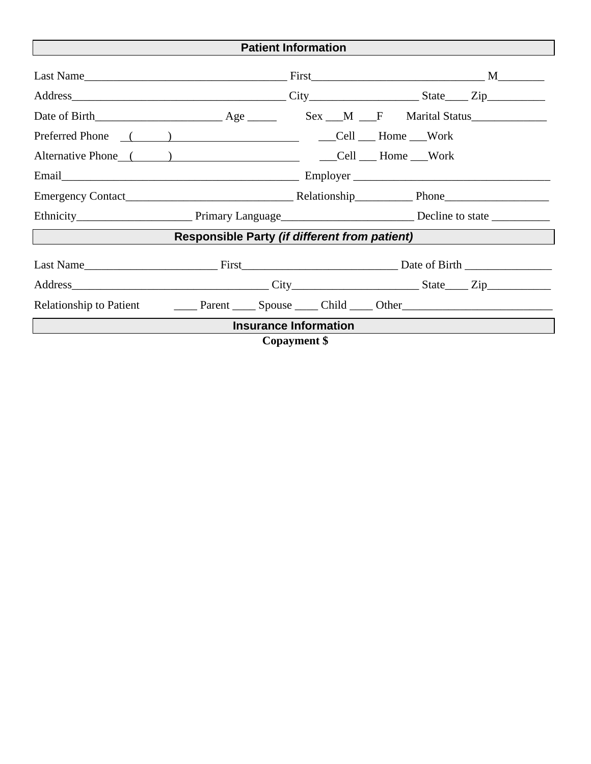| <b>Patient Information</b>                    |  |  |  |  |  |  |  |  |
|-----------------------------------------------|--|--|--|--|--|--|--|--|
|                                               |  |  |  |  |  |  |  |  |
|                                               |  |  |  |  |  |  |  |  |
|                                               |  |  |  |  |  |  |  |  |
|                                               |  |  |  |  |  |  |  |  |
|                                               |  |  |  |  |  |  |  |  |
|                                               |  |  |  |  |  |  |  |  |
|                                               |  |  |  |  |  |  |  |  |
|                                               |  |  |  |  |  |  |  |  |
| Responsible Party (if different from patient) |  |  |  |  |  |  |  |  |
|                                               |  |  |  |  |  |  |  |  |
|                                               |  |  |  |  |  |  |  |  |
|                                               |  |  |  |  |  |  |  |  |
| <b>Insurance Information</b>                  |  |  |  |  |  |  |  |  |
| <b>Copayment</b> \$                           |  |  |  |  |  |  |  |  |